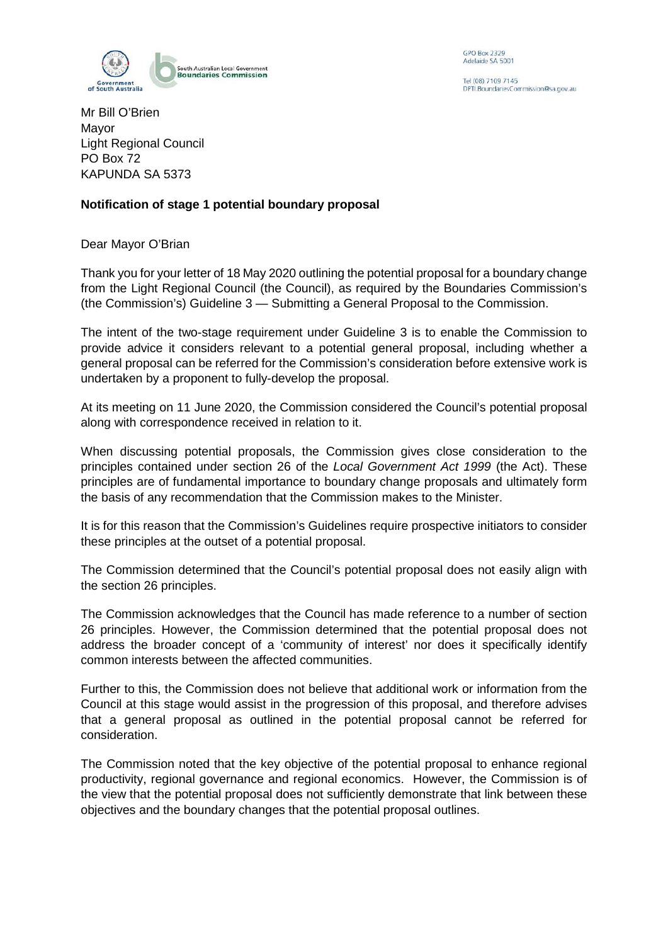

**GPO Box 2329** Adelaide SA 5001

Tel (08) 7109 7145 PTI. Boundaries Commission@sa.gov.au

Mr Bill O'Brien Mayor Light Regional Council PO Box 72 KAPUNDA SA 5373

## **Notification of stage 1 potential boundary proposal**

Dear Mayor O'Brian

Thank you for your letter of 18 May 2020 outlining the potential proposal for a boundary change from the Light Regional Council (the Council), as required by the Boundaries Commission's (the Commission's) Guideline 3 — Submitting a General Proposal to the Commission.

The intent of the two-stage requirement under Guideline 3 is to enable the Commission to provide advice it considers relevant to a potential general proposal, including whether a general proposal can be referred for the Commission's consideration before extensive work is undertaken by a proponent to fully-develop the proposal.

At its meeting on 11 June 2020, the Commission considered the Council's potential proposal along with correspondence received in relation to it.

When discussing potential proposals, the Commission gives close consideration to the principles contained under section 26 of the *Local Government Act 1999* (the Act). These principles are of fundamental importance to boundary change proposals and ultimately form the basis of any recommendation that the Commission makes to the Minister.

It is for this reason that the Commission's Guidelines require prospective initiators to consider these principles at the outset of a potential proposal.

The Commission determined that the Council's potential proposal does not easily align with the section 26 principles.

The Commission acknowledges that the Council has made reference to a number of section 26 principles. However, the Commission determined that the potential proposal does not address the broader concept of a 'community of interest' nor does it specifically identify common interests between the affected communities.

Further to this, the Commission does not believe that additional work or information from the Council at this stage would assist in the progression of this proposal, and therefore advises that a general proposal as outlined in the potential proposal cannot be referred for consideration.

The Commission noted that the key objective of the potential proposal to enhance regional productivity, regional governance and regional economics. However, the Commission is of the view that the potential proposal does not sufficiently demonstrate that link between these objectives and the boundary changes that the potential proposal outlines.